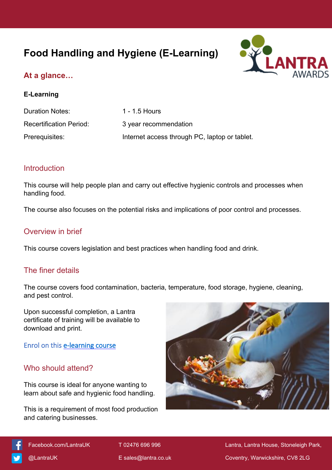# **Food Handling and Hygiene (E-Learning)**



## **At a glance…**

#### **E-Learning**

| Duration Notes:                | 1 - 1.5 Hours                                 |
|--------------------------------|-----------------------------------------------|
| <b>Recertification Period:</b> | 3 year recommendation                         |
| Prerequisites:                 | Internet access through PC, laptop or tablet. |

#### **Introduction**

This course will help people plan and carry out effective hygienic controls and processes when handling food.

The course also focuses on the potential risks and implications of poor control and processes.

#### Overview in brief

This course covers legislation and best practices when handling food and drink.

#### The finer details

The course covers food contamination, bacteria, temperature, food storage, hygiene, cleaning, and pest control.

Upon successful completion, a Lantra certificate of training will be available to download and print.

#### **Enrol on this [e-learning course](https://elearning.lantra.co.uk/search/27)**

#### Who should attend?

This course is ideal for anyone wanting to learn about safe and hygienic food handling.

This is a requirement of most food production and catering businesses.





[Facebook.com/LantraUK](https://www.facebook.com/LantraUK/) T 02476 696 996 Lantra, Lantra, Lantra House, Stoneleigh Park, [@LantraUK](http://www.twitter.com/lantrauk) E [sales@lantra.co.uk](mailto:sales@lantra.co.uk) Coventry, Warwickshire, CV8 2LG